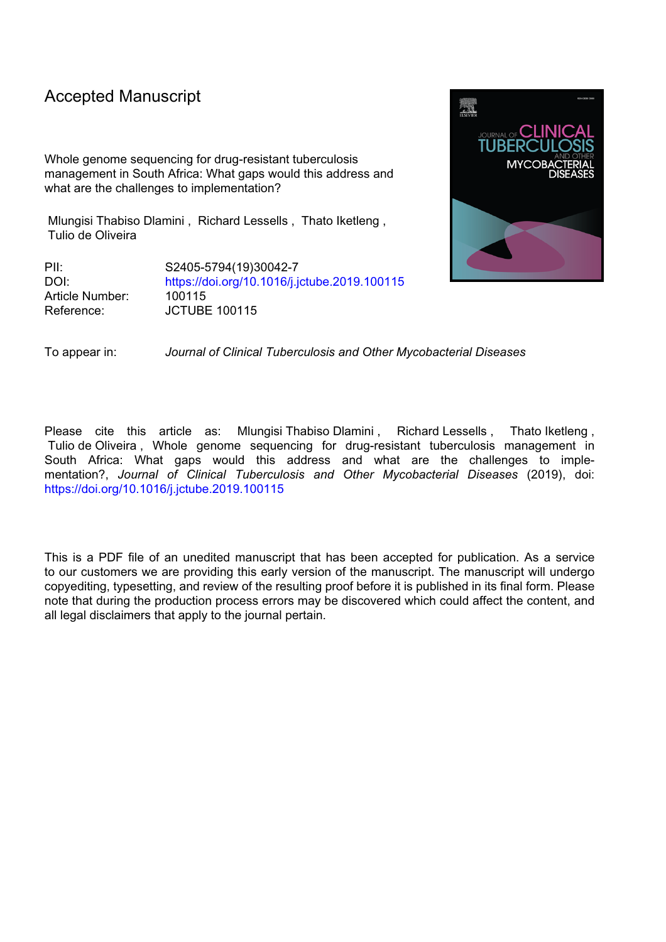# Accepted Manuscript

Whole genome sequencing for drug-resistant tuberculosis management in South Africa: What gaps would this address and what are the challenges to implementation?

Mlungisi Thabiso Dlamini , Richard Lessells , Thato Iketleng , Tulio de Oliveira

PII: S2405-5794(19)30042-7 DOI: <https://doi.org/10.1016/j.jctube.2019.100115> Article Number: 100115 Reference: JCTUBE 100115



To appear in: *Journal of Clinical Tuberculosis and Other Mycobacterial Diseases*

Please cite this article as: Mlungisi Thabiso Dlamini, Richard Lessells, Thato Iketleng, Tulio de Oliveira , Whole genome sequencing for drug-resistant tuberculosis management in South Africa: What gaps would this address and what are the challenges to implementation?, *Journal of Clinical Tuberculosis and Other Mycobacterial Diseases* (2019), doi: <https://doi.org/10.1016/j.jctube.2019.100115>

This is a PDF file of an unedited manuscript that has been accepted for publication. As a service to our customers we are providing this early version of the manuscript. The manuscript will undergo copyediting, typesetting, and review of the resulting proof before it is published in its final form. Please note that during the production process errors may be discovered which could affect the content, and all legal disclaimers that apply to the journal pertain.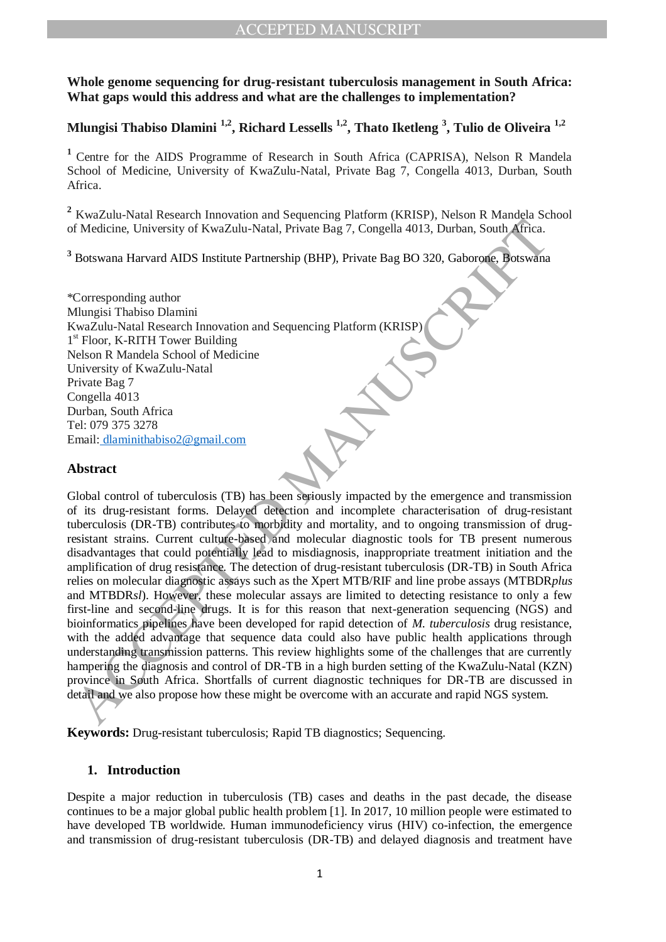# **Whole genome sequencing for drug-resistant tuberculosis management in South Africa: What gaps would this address and what are the challenges to implementation?**

# **Mlungisi Thabiso Dlamini 1,2, Richard Lessells 1,2, Thato Iketleng <sup>3</sup> , Tulio de Oliveira 1,2**

**<sup>1</sup>** Centre for the AIDS Programme of Research in South Africa (CAPRISA), Nelson R Mandela School of Medicine, University of KwaZulu-Natal, Private Bag 7, Congella 4013, Durban, South Africa.

**<sup>2</sup>** KwaZulu-Natal Research Innovation and Sequencing Platform (KRISP), Nelson R Mandela School of Medicine, University of KwaZulu-Natal, Private Bag 7, Congella 4013, Durban, South Africa.

**<sup>3</sup>** Botswana Harvard AIDS Institute Partnership (BHP), Private Bag BO 320, Gaborone, Botswana

\*Corresponding author Mlungisi Thabiso Dlamini KwaZulu-Natal Research Innovation and Sequencing Platform (KRISP) 1<sup>st</sup> Floor, K-RITH Tower Building Nelson R Mandela School of Medicine University of KwaZulu-Natal Private Bag 7 Congella 4013 Durban, South Africa Tel: 079 375 3278 Email: dlaminithabiso2@gmail.com

# **Abstract**

If Moticine. University of KwaZulu-Natal, Private Bag 7, Congella 4013, Durban, South Africa.<br>
Botswana Harvard AIDS Institute Partnership (BHP), Private Bag BO 320, Gaboroate, Botswana<br>
Botswana Harvard AIDS Institute Par Global control of tuberculosis (TB) has been seriously impacted by the emergence and transmission of its drug-resistant forms. Delayed detection and incomplete characterisation of drug-resistant tuberculosis (DR-TB) contributes to morbidity and mortality, and to ongoing transmission of drugresistant strains. Current culture-based and molecular diagnostic tools for TB present numerous disadvantages that could potentially lead to misdiagnosis, inappropriate treatment initiation and the amplification of drug resistance. The detection of drug-resistant tuberculosis (DR-TB) in South Africa relies on molecular diagnostic assays such as the Xpert MTB/RIF and line probe assays (MTBDR*plus* and MTBDR*sl*). However, these molecular assays are limited to detecting resistance to only a few first-line and second-line drugs. It is for this reason that next-generation sequencing (NGS) and bioinformatics pipelines have been developed for rapid detection of *M. tuberculosis* drug resistance, with the added advantage that sequence data could also have public health applications through understanding transmission patterns. This review highlights some of the challenges that are currently hampering the diagnosis and control of DR-TB in a high burden setting of the KwaZulu-Natal (KZN) province in South Africa. Shortfalls of current diagnostic techniques for DR-TB are discussed in detail and we also propose how these might be overcome with an accurate and rapid NGS system.

**Keywords:** Drug-resistant tuberculosis; Rapid TB diagnostics; Sequencing.

## **1. Introduction**

Despite a major reduction in tuberculosis (TB) cases and deaths in the past decade, the disease continues to be a major global public health problem [1]. In 2017, 10 million people were estimated to have developed TB worldwide. Human immunodeficiency virus (HIV) co-infection, the emergence and transmission of drug-resistant tuberculosis (DR-TB) and delayed diagnosis and treatment have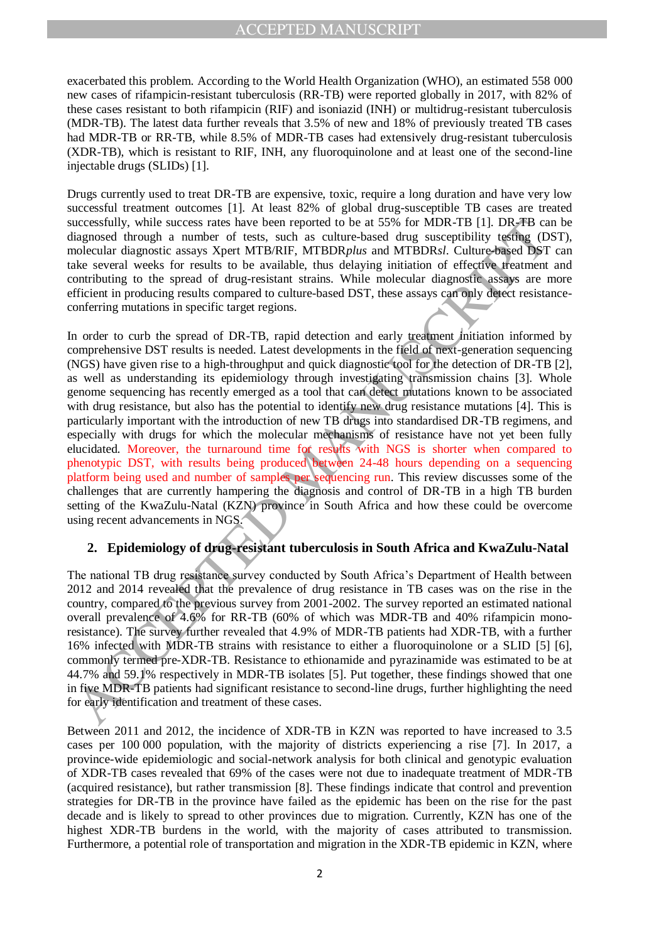exacerbated this problem. According to the World Health Organization (WHO), an estimated 558 000 new cases of rifampicin-resistant tuberculosis (RR-TB) were reported globally in 2017, with 82% of these cases resistant to both rifampicin (RIF) and isoniazid (INH) or multidrug-resistant tuberculosis (MDR-TB). The latest data further reveals that 3.5% of new and 18% of previously treated TB cases had MDR-TB or RR-TB, while 8.5% of MDR-TB cases had extensively drug-resistant tuberculosis (XDR-TB), which is resistant to RIF, INH, any fluoroquinolone and at least one of the second-line injectable drugs (SLIDs) [1].

Drugs currently used to treat DR-TB are expensive, toxic, require a long duration and have very low successful treatment outcomes [1]. At least 82% of global drug-susceptible TB cases are treated successfully, while success rates have been reported to be at 55% for MDR-TB [1]. DR-TB can be diagnosed through a number of tests, such as culture-based drug susceptibility testing (DST), molecular diagnostic assays Xpert MTB/RIF, MTBDR*plus* and MTBDR*sl*. Culture-based DST can take several weeks for results to be available, thus delaying initiation of effective treatment and contributing to the spread of drug-resistant strains. While molecular diagnostic assays are more efficient in producing results compared to culture-based DST, these assays can only detect resistanceconferring mutations in specific target regions.

uccessfully, while success rates have been reported to leat 55% for MDR-TFB [1]. DR-FFB can<br>liagnosed through a number of tests, such as culture-based drug susceptibility teefing (Do<br>licenses rates are reported to lead and In order to curb the spread of DR-TB, rapid detection and early treatment initiation informed by comprehensive DST results is needed. Latest developments in the field of next-generation sequencing (NGS) have given rise to a high-throughput and quick diagnostic tool for the detection of DR-TB [2], as well as understanding its epidemiology through investigating transmission chains [3]. Whole genome sequencing has recently emerged as a tool that can detect mutations known to be associated with drug resistance, but also has the potential to identify new drug resistance mutations [4]. This is particularly important with the introduction of new TB drugs into standardised DR-TB regimens, and especially with drugs for which the molecular mechanisms of resistance have not yet been fully elucidated. Moreover, the turnaround time for results with NGS is shorter when compared to phenotypic DST, with results being produced between 24-48 hours depending on a sequencing platform being used and number of samples per sequencing run. This review discusses some of the challenges that are currently hampering the diagnosis and control of DR-TB in a high TB burden setting of the KwaZulu-Natal (KZN) province in South Africa and how these could be overcome using recent advancements in NGS.

## **2. Epidemiology of drug-resistant tuberculosis in South Africa and KwaZulu-Natal**

The national TB drug resistance survey conducted by South Africa's Department of Health between 2012 and 2014 revealed that the prevalence of drug resistance in TB cases was on the rise in the country, compared to the previous survey from 2001-2002. The survey reported an estimated national overall prevalence of 4.6% for RR-TB (60% of which was MDR-TB and 40% rifampicin monoresistance). The survey further revealed that 4.9% of MDR-TB patients had XDR-TB, with a further 16% infected with MDR-TB strains with resistance to either a fluoroquinolone or a SLID [5] [6], commonly termed pre-XDR-TB. Resistance to ethionamide and pyrazinamide was estimated to be at 44.7% and 59.1% respectively in MDR-TB isolates [5]. Put together, these findings showed that one in five MDR-TB patients had significant resistance to second-line drugs, further highlighting the need for early identification and treatment of these cases.

Between 2011 and 2012, the incidence of XDR-TB in KZN was reported to have increased to 3.5 cases per 100 000 population, with the majority of districts experiencing a rise [7]. In 2017, a province-wide epidemiologic and social-network analysis for both clinical and genotypic evaluation of XDR-TB cases revealed that 69% of the cases were not due to inadequate treatment of MDR-TB (acquired resistance), but rather transmission [8]. These findings indicate that control and prevention strategies for DR-TB in the province have failed as the epidemic has been on the rise for the past decade and is likely to spread to other provinces due to migration. Currently, KZN has one of the highest XDR-TB burdens in the world, with the majority of cases attributed to transmission. Furthermore, a potential role of transportation and migration in the XDR-TB epidemic in KZN, where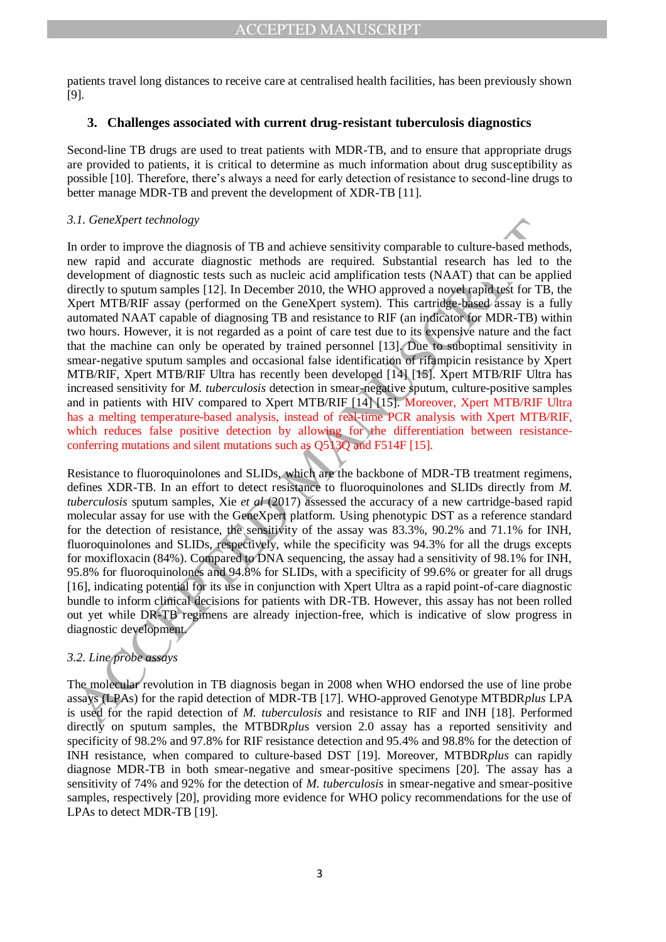patients travel long distances to receive care at centralised health facilities, has been previously shown [9].

## **3. Challenges associated with current drug-resistant tuberculosis diagnostics**

Second-line TB drugs are used to treat patients with MDR-TB, and to ensure that appropriate drugs are provided to patients, it is critical to determine as much information about drug susceptibility as possible [10]. Therefore, there's always a need for early detection of resistance to second-line drugs to better manage MDR-TB and prevent the development of XDR-TB [11].

#### *3.1. GeneXpert technology*

1.1. Genexpert networds diagnosis of TB and achieve sensitivity comparable to culture-based met<br>not or or improve the diagnosis of TB and achieve sensitivity comparable to culture-based met<br>now rapid and accurate diagnost In order to improve the diagnosis of TB and achieve sensitivity comparable to culture-based methods, new rapid and accurate diagnostic methods are required. Substantial research has led to the development of diagnostic tests such as nucleic acid amplification tests (NAAT) that can be applied directly to sputum samples [12]. In December 2010, the WHO approved a novel rapid test for TB, the Xpert MTB/RIF assay (performed on the GeneXpert system). This cartridge-based assay is a fully automated NAAT capable of diagnosing TB and resistance to RIF (an indicator for MDR-TB) within two hours. However, it is not regarded as a point of care test due to its expensive nature and the fact that the machine can only be operated by trained personnel [13]. Due to suboptimal sensitivity in smear-negative sputum samples and occasional false identification of rifampicin resistance by Xpert MTB/RIF, Xpert MTB/RIF Ultra has recently been developed [14] [15]. Xpert MTB/RIF Ultra has increased sensitivity for *M. tuberculosis* detection in smear-negative sputum, culture-positive samples and in patients with HIV compared to Xpert MTB/RIF [14] [15]. Moreover, Xpert MTB/RIF Ultra has a melting temperature-based analysis, instead of real-time PCR analysis with Xpert MTB/RIF, which reduces false positive detection by allowing for the differentiation between resistanceconferring mutations and silent mutations such as Q513Q and F514F [15].

Resistance to fluoroquinolones and SLIDs, which are the backbone of MDR-TB treatment regimens, defines XDR-TB. In an effort to detect resistance to fluoroquinolones and SLIDs directly from *M. tuberculosis* sputum samples, Xie *et al* (2017) assessed the accuracy of a new cartridge-based rapid molecular assay for use with the GeneXpert platform. Using phenotypic DST as a reference standard for the detection of resistance, the sensitivity of the assay was 83.3%, 90.2% and 71.1% for INH, fluoroquinolones and SLIDs, respectively, while the specificity was 94.3% for all the drugs excepts for moxifloxacin (84%). Compared to DNA sequencing, the assay had a sensitivity of 98.1% for INH, 95.8% for fluoroquinolones and 94.8% for SLIDs, with a specificity of 99.6% or greater for all drugs [16], indicating potential for its use in conjunction with Xpert Ultra as a rapid point-of-care diagnostic bundle to inform clinical decisions for patients with DR-TB. However, this assay has not been rolled out yet while DR-TB regimens are already injection-free, which is indicative of slow progress in diagnostic development.

# *3.2. Line probe assays*

The molecular revolution in TB diagnosis began in 2008 when WHO endorsed the use of line probe assays (LPAs) for the rapid detection of MDR-TB [17]. WHO-approved Genotype MTBDR*plus* LPA is used for the rapid detection of *M. tuberculosis* and resistance to RIF and INH [18]. Performed directly on sputum samples, the MTBDR*plu*s version 2.0 assay has a reported sensitivity and specificity of 98.2% and 97.8% for RIF resistance detection and 95.4% and 98.8% for the detection of INH resistance, when compared to culture-based DST [19]. Moreover, MTBDR*plus* can rapidly diagnose MDR-TB in both smear-negative and smear-positive specimens [20]. The assay has a sensitivity of 74% and 92% for the detection of *M. tuberculosis* in smear-negative and smear-positive samples, respectively [20], providing more evidence for WHO policy recommendations for the use of LPAs to detect MDR-TB [19].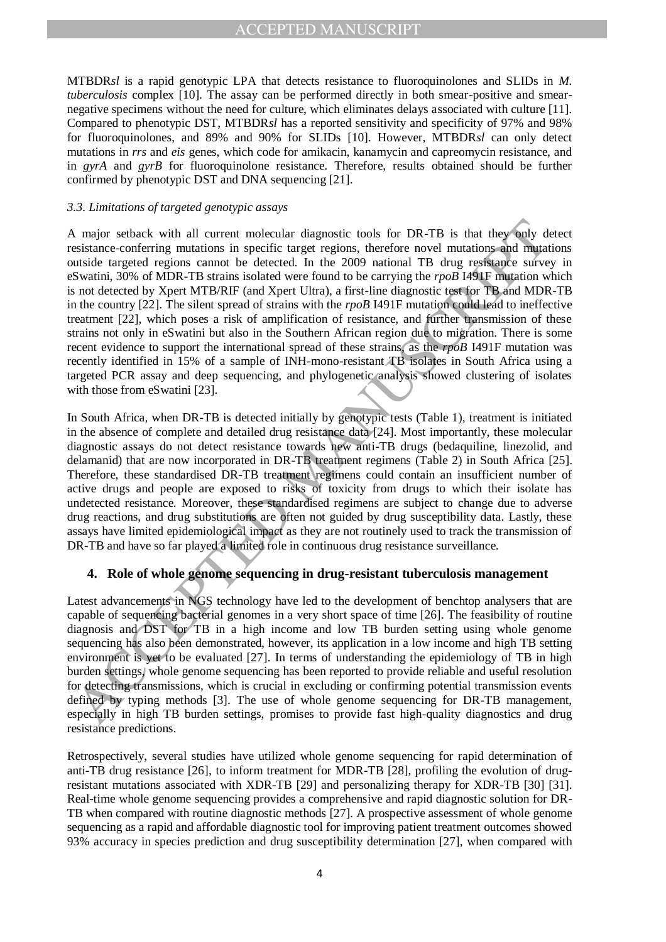MTBDR*sl* is a rapid genotypic LPA that detects resistance to fluoroquinolones and SLIDs in *M. tuberculosis* complex [10]. The assay can be performed directly in both smear-positive and smearnegative specimens without the need for culture, which eliminates delays associated with culture [11]. Compared to phenotypic DST, MTBDR*sl* has a reported sensitivity and specificity of 97% and 98% for fluoroquinolones, and 89% and 90% for SLIDs [10]. However, MTBDR*sl* can only detect mutations in *rrs* and *eis* genes, which code for amikacin, kanamycin and capreomycin resistance, and in *gyrA* and *gyrB* for fluoroquinolone resistance. Therefore, results obtained should be further confirmed by phenotypic DST and DNA sequencing [21].

#### *3.3. Limitations of targeted genotypic assays*

A major setback with all current molecular diagnostic tools for DR-TB is that they only desistance-conferring matteins in specific target regions, therefore novel mutations and mutations is solved in , solved in the 2009 A major setback with all current molecular diagnostic tools for DR-TB is that they only detect resistance-conferring mutations in specific target regions, therefore novel mutations and mutations outside targeted regions cannot be detected. In the 2009 national TB drug resistance survey in eSwatini, 30% of MDR-TB strains isolated were found to be carrying the *rpoB* I491F mutation which is not detected by Xpert MTB/RIF (and Xpert Ultra), a first-line diagnostic test for TB and MDR-TB in the country [22]. The silent spread of strains with the *rpoB* I491F mutation could lead to ineffective treatment [22], which poses a risk of amplification of resistance, and further transmission of these strains not only in eSwatini but also in the Southern African region due to migration. There is some recent evidence to support the international spread of these strains, as the *rpoB* I491F mutation was recently identified in 15% of a sample of INH-mono-resistant TB isolates in South Africa using a targeted PCR assay and deep sequencing, and phylogenetic analysis showed clustering of isolates with those from eS watini [23].

In South Africa, when DR-TB is detected initially by genotypic tests (Table 1), treatment is initiated in the absence of complete and detailed drug resistance data [24]. Most importantly, these molecular diagnostic assays do not detect resistance towards new anti-TB drugs (bedaquiline, linezolid, and delamanid) that are now incorporated in DR-TB treatment regimens (Table 2) in South Africa [25]. Therefore, these standardised DR-TB treatment regimens could contain an insufficient number of active drugs and people are exposed to risks of toxicity from drugs to which their isolate has undetected resistance. Moreover, these standardised regimens are subject to change due to adverse drug reactions, and drug substitutions are often not guided by drug susceptibility data. Lastly, these assays have limited epidemiological impact as they are not routinely used to track the transmission of DR-TB and have so far played a limited role in continuous drug resistance surveillance.

#### **4. Role of whole genome sequencing in drug-resistant tuberculosis management**

Latest advancements in NGS technology have led to the development of benchtop analysers that are capable of sequencing bacterial genomes in a very short space of time [26]. The feasibility of routine diagnosis and DST for TB in a high income and low TB burden setting using whole genome sequencing has also been demonstrated, however, its application in a low income and high TB setting environment is yet to be evaluated [27]. In terms of understanding the epidemiology of TB in high burden settings, whole genome sequencing has been reported to provide reliable and useful resolution for detecting transmissions, which is crucial in excluding or confirming potential transmission events defined by typing methods [3]. The use of whole genome sequencing for DR-TB management, especially in high TB burden settings, promises to provide fast high-quality diagnostics and drug resistance predictions.

Retrospectively, several studies have utilized whole genome sequencing for rapid determination of anti-TB drug resistance [26], to inform treatment for MDR-TB [28], profiling the evolution of drugresistant mutations associated with XDR-TB [29] and personalizing therapy for XDR-TB [30] [31]. Real-time whole genome sequencing provides a comprehensive and rapid diagnostic solution for DR-TB when compared with routine diagnostic methods [27]. A prospective assessment of whole genome sequencing as a rapid and affordable diagnostic tool for improving patient treatment outcomes showed 93% accuracy in species prediction and drug susceptibility determination [27], when compared with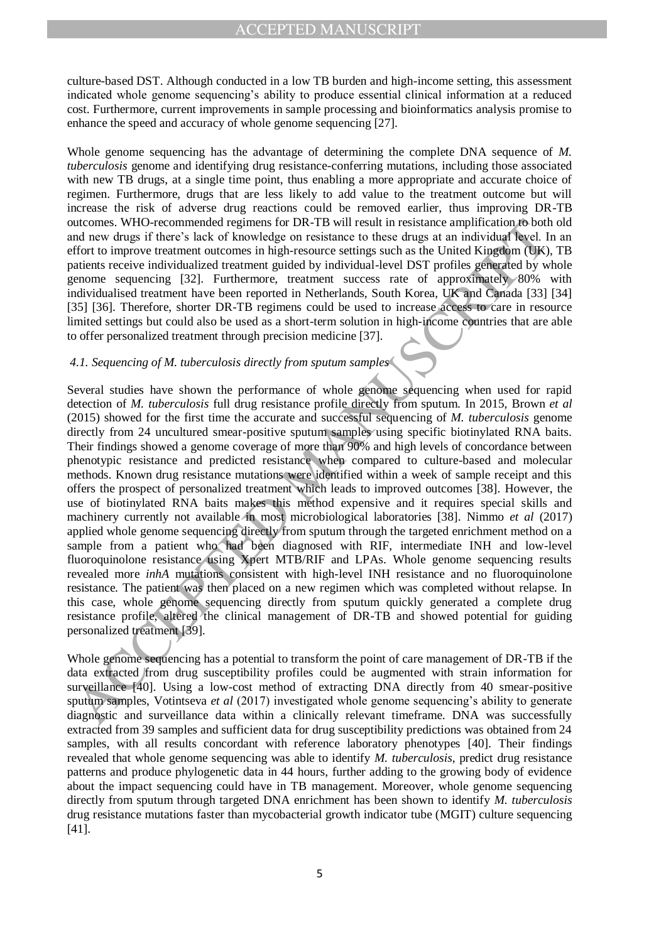culture-based DST. Although conducted in a low TB burden and high-income setting, this assessment indicated whole genome sequencing's ability to produce essential clinical information at a reduced cost. Furthermore, current improvements in sample processing and bioinformatics analysis promise to enhance the speed and accuracy of whole genome sequencing [27].

Whole genome sequencing has the advantage of determining the complete DNA sequence of *M. tuberculosis* genome and identifying drug resistance-conferring mutations, including those associated with new TB drugs, at a single time point, thus enabling a more appropriate and accurate choice of regimen. Furthermore, drugs that are less likely to add value to the treatment outcome but will increase the risk of adverse drug reactions could be removed earlier, thus improving DR-TB outcomes. WHO-recommended regimens for DR-TB will result in resistance amplification to both old and new drugs if there's lack of knowledge on resistance to these drugs at an individual level. In an effort to improve treatment outcomes in high-resource settings such as the United Kingdom (UK), TB patients receive individualized treatment guided by individual-level DST profiles generated by whole genome sequencing [32]. Furthermore, treatment success rate of approximately 80% with individualised treatment have been reported in Netherlands, South Korea, UK and Canada [33] [34] [35] [36]. Therefore, shorter DR-TB regimens could be used to increase access to care in resource limited settings but could also be used as a short-term solution in high-income countries that are able to offer personalized treatment through precision medicine [37].

#### *4.1. Sequencing of M. tuberculosis directly from sputum samples*

automes. WHO-recommended regimes for DR-TB will result in resistance amplification both<br>that mev drugs if there's lack of knowledge on resistance to these drugs at an individual beed. In<br>different to improve treatment outc Several studies have shown the performance of whole genome sequencing when used for rapid detection of *M. tuberculosis* full drug resistance profile directly from sputum. In 2015, Brown *et al* (2015) showed for the first time the accurate and successful sequencing of *M. tuberculosis* genome directly from 24 uncultured smear-positive sputum samples using specific biotinylated RNA baits. Their findings showed a genome coverage of more than 90% and high levels of concordance between phenotypic resistance and predicted resistance when compared to culture-based and molecular methods. Known drug resistance mutations were identified within a week of sample receipt and this offers the prospect of personalized treatment which leads to improved outcomes [38]. However, the use of biotinylated RNA baits makes this method expensive and it requires special skills and machinery currently not available in most microbiological laboratories [38]. Nimmo *et al* (2017) applied whole genome sequencing directly from sputum through the targeted enrichment method on a sample from a patient who had been diagnosed with RIF, intermediate INH and low-level fluoroquinolone resistance using Xpert MTB/RIF and LPAs. Whole genome sequencing results revealed more *inhA* mutations consistent with high-level INH resistance and no fluoroquinolone resistance. The patient was then placed on a new regimen which was completed without relapse. In this case, whole genome sequencing directly from sputum quickly generated a complete drug resistance profile, altered the clinical management of DR-TB and showed potential for guiding personalized treatment [39].

Whole genome sequencing has a potential to transform the point of care management of DR-TB if the data extracted from drug susceptibility profiles could be augmented with strain information for surveillance [40]. Using a low-cost method of extracting DNA directly from 40 smear-positive sputum samples, Votintseva *et al* (2017) investigated whole genome sequencing's ability to generate diagnostic and surveillance data within a clinically relevant timeframe. DNA was successfully extracted from 39 samples and sufficient data for drug susceptibility predictions was obtained from 24 samples, with all results concordant with reference laboratory phenotypes [40]. Their findings revealed that whole genome sequencing was able to identify *M. tuberculosis*, predict drug resistance patterns and produce phylogenetic data in 44 hours, further adding to the growing body of evidence about the impact sequencing could have in TB management. Moreover, whole genome sequencing directly from sputum through targeted DNA enrichment has been shown to identify *M. tuberculosis* drug resistance mutations faster than mycobacterial growth indicator tube (MGIT) culture sequencing [41].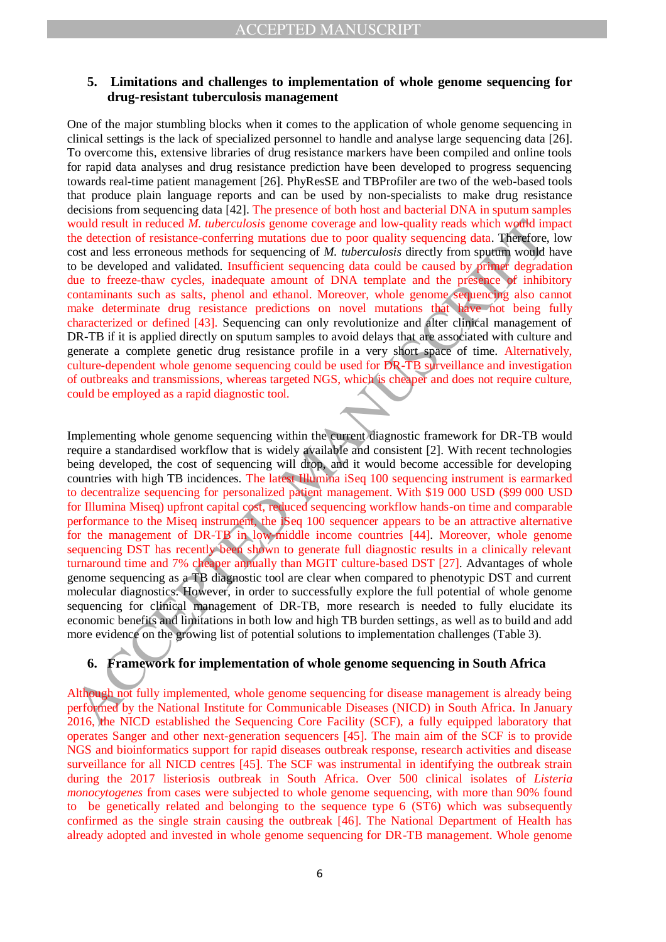## **5. Limitations and challenges to implementation of whole genome sequencing for drug-resistant tuberculosis management**

One of the major stumbling blocks when it comes to the application of whole genome sequencing in clinical settings is the lack of specialized personnel to handle and analyse large sequencing data [26]. To overcome this, extensive libraries of drug resistance markers have been compiled and online tools for rapid data analyses and drug resistance prediction have been developed to progress sequencing towards real-time patient management [26]. PhyResSE and TBProfiler are two of the web-based tools that produce plain language reports and can be used by non-specialists to make drug resistance decisions from sequencing data [42]. The presence of both host and bacterial DNA in sputum samples would result in reduced *M. tuberculosis* genome coverage and low-quality reads which would impact the detection of resistance-conferring mutations due to poor quality sequencing data. Therefore, low cost and less erroneous methods for sequencing of *M. tuberculosis* directly from sputum would have to be developed and validated. Insufficient sequencing data could be caused by primer degradation due to freeze-thaw cycles, inadequate amount of DNA template and the presence of inhibitory contaminants such as salts, phenol and ethanol. Moreover, whole genome sequencing also cannot make determinate drug resistance predictions on novel mutations that have not being fully characterized or defined [43]. Sequencing can only revolutionize and alter clinical management of DR-TB if it is applied directly on sputum samples to avoid delays that are associated with culture and generate a complete genetic drug resistance profile in a very short space of time. Alternatively, culture-dependent whole genome sequencing could be used for DR-TB surveillance and investigation of outbreaks and transmissions, whereas targeted NGS, which is cheaper and does not require culture, could be employed as a rapid diagnostic tool.

would result in reduced MA *inderculous* genome coverage and low-quality reads which world in<br>three detection of resistance-conferring mutations due to poor quality sequencing data. The detection<br>of the detection of resist Implementing whole genome sequencing within the current diagnostic framework for DR-TB would require a standardised workflow that is widely available and consistent [2]. With recent technologies being developed, the cost of sequencing will drop, and it would become accessible for developing countries with high TB incidences. The latest Illumina iSeq 100 sequencing instrument is earmarked to decentralize sequencing for personalized patient management. With \$19 000 USD (\$99 000 USD for Illumina Miseq) upfront capital cost, reduced sequencing workflow hands-on time and comparable performance to the Miseq instrument, the iSeq 100 sequencer appears to be an attractive alternative for the management of DR-TB in low-middle income countries [44]. Moreover, whole genome sequencing DST has recently been shown to generate full diagnostic results in a clinically relevant turnaround time and 7% cheaper annually than MGIT culture-based DST [27]. Advantages of whole genome sequencing as a TB diagnostic tool are clear when compared to phenotypic DST and current molecular diagnostics. However, in order to successfully explore the full potential of whole genome sequencing for clinical management of DR-TB, more research is needed to fully elucidate its economic benefits and limitations in both low and high TB burden settings, as well as to build and add more evidence on the growing list of potential solutions to implementation challenges (Table 3).

# **6. Framework for implementation of whole genome sequencing in South Africa**

Although not fully implemented, whole genome sequencing for disease management is already being performed by the National Institute for Communicable Diseases (NICD) in South Africa. In January 2016, the NICD established the Sequencing Core Facility (SCF), a fully equipped laboratory that operates Sanger and other next-generation sequencers [45]. The main aim of the SCF is to provide NGS and bioinformatics support for rapid diseases outbreak response, research activities and disease surveillance for all NICD centres [45]. The SCF was instrumental in identifying the outbreak strain during the 2017 listeriosis outbreak in South Africa. Over 500 clinical isolates of *Listeria monocytogenes* from cases were subjected to whole genome sequencing, with more than 90% found to be genetically related and belonging to the sequence type 6 (ST6) which was subsequently confirmed as the single strain causing the outbreak [46]. The National Department of Health has already adopted and invested in whole genome sequencing for DR-TB management. Whole genome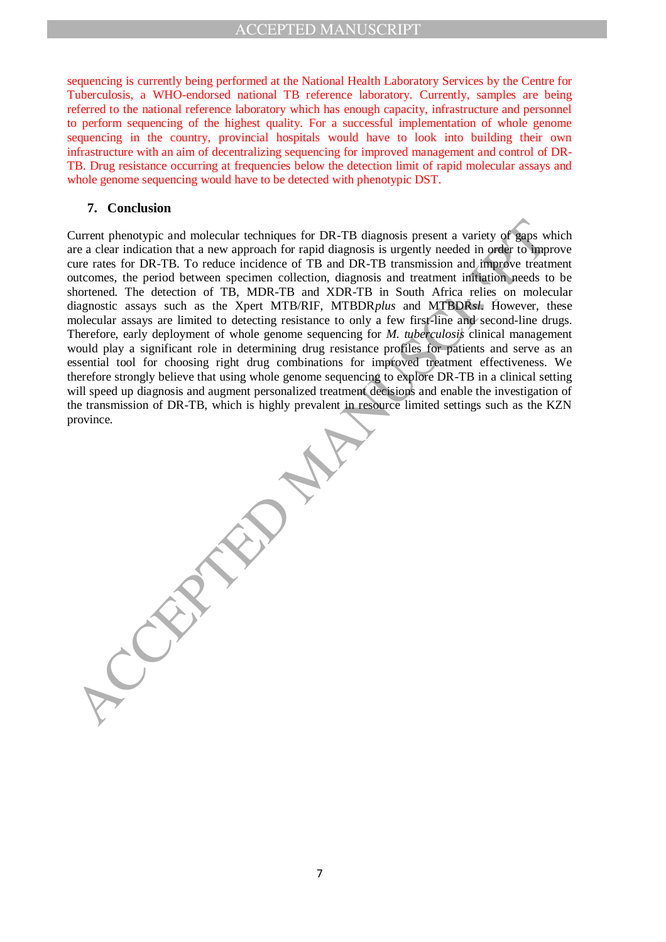sequencing is currently being performed at the National Health Laboratory Services by the Centre for Tuberculosis, a WHO-endorsed national TB reference laboratory. Currently, samples are being referred to the national reference laboratory which has enough capacity, infrastructure and personnel to perform sequencing of the highest quality. For a successful implementation of whole genome sequencing in the country, provincial hospitals would have to look into building their own infrastructure with an aim of decentralizing sequencing for improved management and control of DR-TB. Drug resistance occurring at frequencies below the detection limit of rapid molecular assays and whole genome sequencing would have to be detected with phenotypic DST.

#### **7. Conclusion**

Current phenotypic and molecular techniques for DR-TB diagnosis present a variety of gaps we a clear indication that a new approach for rapid diagnosis streggingly needed in order to they also ture turns are not construct Current phenotypic and molecular techniques for DR-TB diagnosis present a variety of gaps which are a clear indication that a new approach for rapid diagnosis is urgently needed in order to improve cure rates for DR-TB. To reduce incidence of TB and DR-TB transmission and improve treatment outcomes, the period between specimen collection, diagnosis and treatment initiation needs to be shortened. The detection of TB, MDR-TB and XDR-TB in South Africa relies on molecular diagnostic assays such as the Xpert MTB/RIF, MTBDR*plus* and MTBDR*sl*. However, these molecular assays are limited to detecting resistance to only a few first-line and second-line drugs. Therefore, early deployment of whole genome sequencing for *M. tuberculosis* clinical management would play a significant role in determining drug resistance profiles for patients and serve as an essential tool for choosing right drug combinations for improved treatment effectiveness. We therefore strongly believe that using whole genome sequencing to explore DR-TB in a clinical setting will speed up diagnosis and augment personalized treatment decisions and enable the investigation of the transmission of DR-TB, which is highly prevalent in resource limited settings such as the KZN province.

7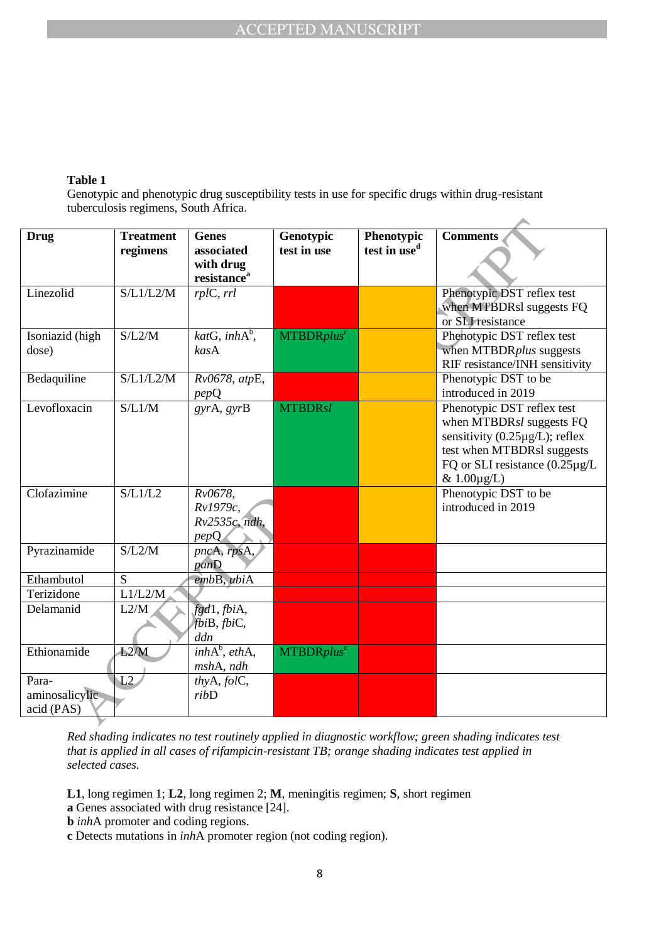## **Table 1**

Genotypic and phenotypic drug susceptibility tests in use for specific drugs within drug-resistant tuberculosis regimens, South Africa.

| <b>Drug</b>     | <b>Treatment</b> | <b>Genes</b>              | Genotypic                     | Phenotypic               | <b>Comments</b>                       |
|-----------------|------------------|---------------------------|-------------------------------|--------------------------|---------------------------------------|
|                 | regimens         | associated                | test in use                   | test in use <sup>d</sup> |                                       |
|                 |                  | with drug                 |                               |                          |                                       |
|                 |                  | resistance <sup>a</sup>   |                               |                          |                                       |
| Linezolid       | S/L1/L2/M        | rplC, rrl                 |                               |                          | Phenotypic DST reflex test            |
|                 |                  |                           |                               |                          | when MTBDRsl suggests FQ              |
|                 |                  |                           |                               |                          | or SLI resistance                     |
| Isoniazid (high | S/L2/M           | katG, inhA <sup>b</sup> , | <b>MTBDRplus</b> <sup>c</sup> |                          | Phenotypic DST reflex test            |
| dose)           |                  | kasA                      |                               |                          | when MTBDRplus suggests               |
|                 |                  |                           |                               |                          | RIF resistance/INH sensitivity        |
| Bedaquiline     | S/L1/L2/M        | Rv0678, atpE,             |                               |                          | Phenotypic DST to be                  |
|                 |                  | pepQ                      |                               |                          | introduced in 2019                    |
| Levofloxacin    | S/L1/M           | gyrA, gyrB                | <b>MTBDRsl</b>                |                          | Phenotypic DST reflex test            |
|                 |                  |                           |                               |                          | when MTBDRsl suggests FQ              |
|                 |                  |                           |                               |                          | sensitivity $(0.25 \mu g/L)$ ; reflex |
|                 |                  |                           |                               |                          | test when MTBDRsl suggests            |
|                 |                  |                           |                               |                          | FQ or SLI resistance $(0.25 \mu g/L)$ |
|                 |                  |                           |                               |                          | $& 1.00 \mu g/L)$                     |
| Clofazimine     | S/L1/L2          | Rv0678,                   |                               |                          | Phenotypic DST to be                  |
|                 |                  | Rv1979c,                  |                               |                          | introduced in 2019                    |
|                 |                  | $Rv2535c$ , ndh,          |                               |                          |                                       |
|                 |                  | pepQ                      |                               |                          |                                       |
| Pyrazinamide    | S/L2/M           | pncA, rpsA,               |                               |                          |                                       |
|                 |                  | panD                      |                               |                          |                                       |
| Ethambutol      | S                | embB, ubiA                |                               |                          |                                       |
| Terizidone      | L1/L2/M          |                           |                               |                          |                                       |
| Delamanid       | L2/M             | fgd1, fbiA,               |                               |                          |                                       |
|                 |                  | fbiB, fbiC,               |                               |                          |                                       |
|                 |                  | ddn                       |                               |                          |                                       |
| Ethionamide     | L2/M             | $inhA^b, ethA,$           | MTBDRplus <sup>c</sup>        |                          |                                       |
|                 |                  | mshA, ndh                 |                               |                          |                                       |
| Para-           | L2               | thyA, folC,               |                               |                          |                                       |
| aminosalicylic  |                  | ribD                      |                               |                          |                                       |
| acid (PAS)      |                  |                           |                               |                          |                                       |
|                 |                  |                           |                               |                          |                                       |

*Red shading indicates no test routinely applied in diagnostic workflow; green shading indicates test that is applied in all cases of rifampicin-resistant TB; orange shading indicates test applied in selected cases.*

**L1**, long regimen 1; **L2**, long regimen 2; **M**, meningitis regimen; **S**, short regimen

- **a** Genes associated with drug resistance [24].
- **b** *inh*A promoter and coding regions.
- **c** Detects mutations in *inh*A promoter region (not coding region).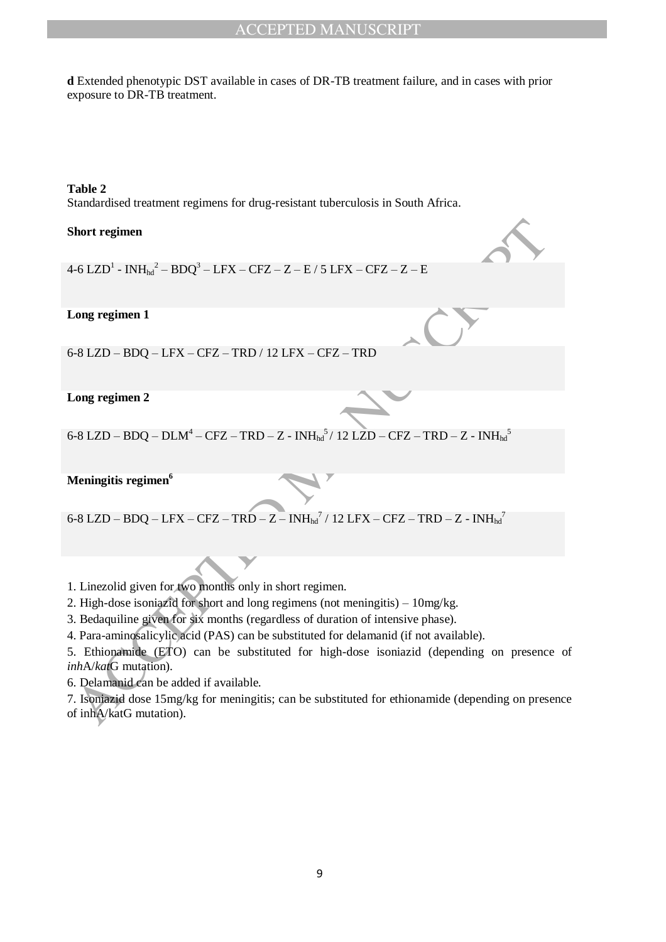# ACCEPTED MANUSCRIPT

**d** Extended phenotypic DST available in cases of DR-TB treatment failure, and in cases with prior exposure to DR-TB treatment.

#### **Table 2** Standardised treatment regimens for drug-resistant tuberculosis in South Africa.

#### **Short regimen**

4-6 LZD $^{\rm l}$  -  $\rm INH_{hd}^{\rm}{}^2-BDQ^3-LFX-CFZ-Z-E$  / 5 LFX – CFZ – Z – E

#### **Long regimen 1**

6-8 LZD – BDQ – LFX – CFZ – TRD / 12 LFX – CFZ – TRD

#### **Long regimen 2**

6-8 LZD – BDQ – DLM<sup>4</sup> – CFZ – TRD – Z -  $\mathrm{INH_{hd}}^5$ / 12 LZD – CFZ – TRD – Z -  $\mathrm{INH_{hd}}^5$ 

## **Meningitis regimen<sup>6</sup>**

6-8 LZD – BDQ – LFX – CFZ – TRD – Z $-$  INH $_{\text{hd}}$ <sup>7</sup> / 12 LFX – CFZ – TRD – Z - INH $_{\text{hd}}$ <sup>7</sup>

1. Linezolid given for two months only in short regimen.

2. High-dose isoniazid for short and long regimens (not meningitis) – 10mg/kg.

3. Bedaquiline given for six months (regardless of duration of intensive phase).

4. Para-aminosalicylic acid (PAS) can be substituted for delamanid (if not available).

Hort regimen<br>  $-61 Z/D<sup>3</sup> - INH<sub>ba</sub><sup>2</sup> - BDO<sup>3</sup> - I.FX - CFZ - TR - F/S I.FX - CFZ - TR - F/S I.FX - CFZ - TR - F/S I.FX - CFZ - TR - F/S I.FX - CFZ - TR - F/S I.FX - CFZ - TR - F/S I.FX - CFZ - TR - F/S I.FX - CFZ - TR - F/S I.FX - CFZ - TR - F/S I.FX - CFZ - TR - F/S I.FX - F/S I.FX - CFZ - TR - F/S I.FX - F/S I.FX - F/S I.FX - F/S I.FX - F/S I.FX - F$ 5. Ethionamide (ETO) can be substituted for high-dose isoniazid (depending on presence of *inh*A/*kat*G mutation).

6. Delamanid can be added if available.

7. Isoniazid dose 15mg/kg for meningitis; can be substituted for ethionamide (depending on presence of inhA/katG mutation).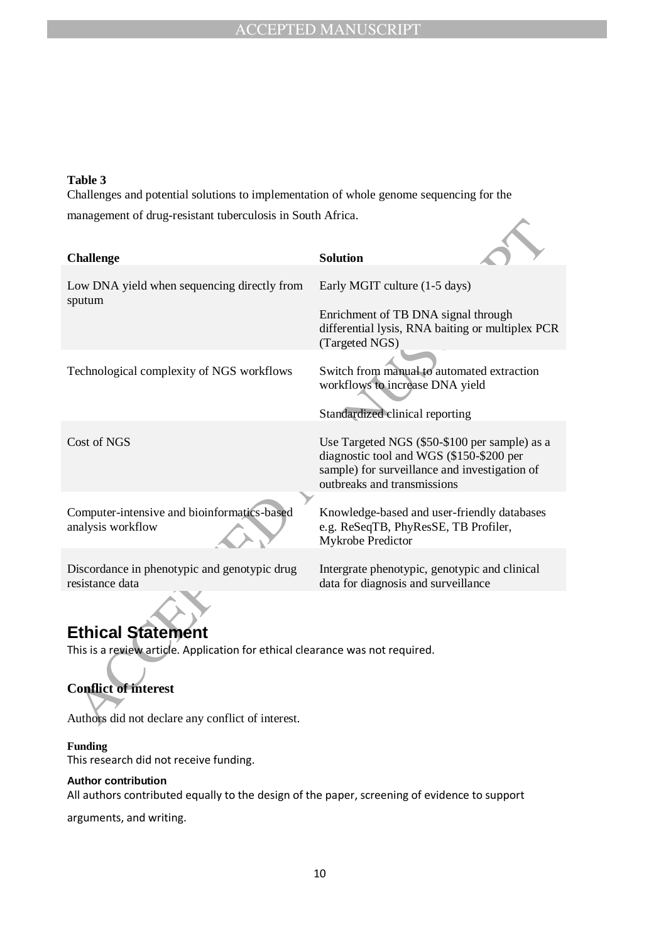#### **Table 3**

Challenges and potential solutions to implementation of whole genome sequencing for the management of drug-resistant tuberculosis in South Africa.

| management of arag resistant tabercalosis in bouth Furiou.                                                   |                                                                                                                                                                           |  |  |  |
|--------------------------------------------------------------------------------------------------------------|---------------------------------------------------------------------------------------------------------------------------------------------------------------------------|--|--|--|
| <b>Challenge</b>                                                                                             | <b>Solution</b>                                                                                                                                                           |  |  |  |
|                                                                                                              |                                                                                                                                                                           |  |  |  |
| Low DNA yield when sequencing directly from<br>sputum                                                        | Early MGIT culture (1-5 days)                                                                                                                                             |  |  |  |
|                                                                                                              | Enrichment of TB DNA signal through<br>differential lysis, RNA baiting or multiplex PCR<br>(Targeted NGS)                                                                 |  |  |  |
| Technological complexity of NGS workflows                                                                    | Switch from manual to automated extraction<br>workflows to increase DNA yield                                                                                             |  |  |  |
|                                                                                                              | Standardized clinical reporting                                                                                                                                           |  |  |  |
| Cost of NGS                                                                                                  | Use Targeted NGS (\$50-\$100 per sample) as a<br>diagnostic tool and WGS (\$150-\$200 per<br>sample) for surveillance and investigation of<br>outbreaks and transmissions |  |  |  |
| Computer-intensive and bioinformatics-based<br>analysis workflow                                             | Knowledge-based and user-friendly databases<br>e.g. ReSeqTB, PhyResSE, TB Profiler,<br>Mykrobe Predictor                                                                  |  |  |  |
| Discordance in phenotypic and genotypic drug<br>resistance data                                              | Intergrate phenotypic, genotypic and clinical<br>data for diagnosis and surveillance                                                                                      |  |  |  |
| <b>Ethical Statement</b>                                                                                     |                                                                                                                                                                           |  |  |  |
| This is a review article. Application for ethical clearance was not required.<br><b>Conflict of interest</b> |                                                                                                                                                                           |  |  |  |
|                                                                                                              |                                                                                                                                                                           |  |  |  |
| Authors did not declare any conflict of interest.                                                            |                                                                                                                                                                           |  |  |  |

# **Ethical Statement**

# **Conflict of interest**

## **Funding**

This research did not receive funding.

#### **Author contribution**

All authors contributed equally to the design of the paper, screening of evidence to support

arguments, and writing.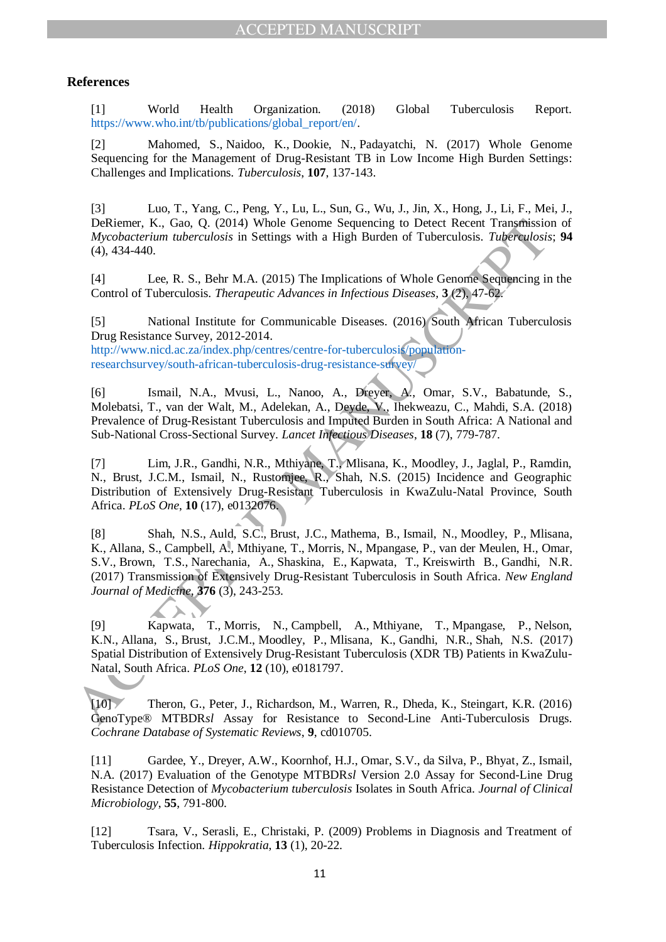# **References**

[1] World Health Organization. (2018) Global Tuberculosis Report. https://www.who.int/tb/publications/global\_report/en/.

[2] Mahomed, S., Naidoo, K., Dookie, N., Padayatchi, N. (2017) Whole Genome Sequencing for the Management of Drug-Resistant TB in Low Income High Burden Settings: Challenges and Implications. *Tuberculosis*, **107**, 137-143.

[3] Luo, T., Yang, C., Peng, Y., Lu, L., Sun, G., Wu, J., Jin, X., Hong, J., Li, F., Mei, J., DeRiemer, K., Gao, Q. (2014) Whole Genome Sequencing to Detect Recent Transmission of *Mycobacterium tuberculosis* in Settings with a High Burden of Tuberculosis. *Tuberculosis*; **94**  (4), 434-440.

[4] Lee, R. S., Behr M.A. (2015) The Implications of Whole Genome Sequencing in the Control of Tuberculosis. *Therapeutic Advances in Infectious Diseases,* **3** (2), 47-62.

[5] National Institute for Communicable Diseases. (2016) South African Tuberculosis Drug Resistance Survey, 2012-2014.

http://www.nicd.ac.za/index.php/centres/centre-for-tuberculosis/populationresearchsurvey/south-african-tuberculosis-drug-resistance-survey/

[6] Ismail, N.A., Mvusi, L., Nanoo, A., Dreyer, A., Omar, S.V., Babatunde, S., Molebatsi, T., van der Walt, M., Adelekan, A., Deyde, V., Ihekweazu, C., Mahdi, S.A. (2018) Prevalence of Drug-Resistant Tuberculosis and Imputed Burden in South Africa: A National and Sub-National Cross-Sectional Survey. *Lancet Infectious Diseases*, **18** (7), 779-787.

[7] Lim, J.R., Gandhi, N.R., Mthiyane, T., Mlisana, K., Moodley, J., Jaglal, P., Ramdin, N., Brust, J.C.M., Ismail, N., Rustomjee, R., Shah, N.S. (2015) Incidence and Geographic Distribution of Extensively Drug-Resistant Tuberculosis in KwaZulu-Natal Province, South Africa. *PLoS One*, **10** (17), e0132076.

DeRicume, K., Gao, O. (2014) Whole Gronne Sequencing to Detect Recent Transmission<br> *Mycohacterium tuberculosis* in Settings with a High Burden of Tuberculosis. *Tuberculosis*<br>
(4), 434-440.<br>
[4] Lec, R. S., Behr M.A. (201 [8] Shah, N.S., Auld, S.C., Brust, J.C., Mathema, B., Ismail, N., Moodley, P., Mlisana, K., Allana, S., Campbell, A., Mthiyane, T., Morris, N., Mpangase, P., van der Meulen, H., Omar, S.V., Brown, T.S., Narechania, A., Shaskina, E., Kapwata, T., Kreiswirth B., Gandhi, N.R. (2017) Transmission of Extensively Drug-Resistant Tuberculosis in South Africa. *New England Journal of Medicine*, **376** (3), 243-253.

[9] Kapwata, T., Morris, N., Campbell, A., Mthiyane, T., Mpangase, P., Nelson, K.N., Allana, S., Brust, J.C.M., Moodley, P., Mlisana, K., Gandhi, N.R., Shah, N.S. (2017) Spatial Distribution of Extensively Drug-Resistant Tuberculosis (XDR TB) Patients in KwaZulu-Natal, South Africa. *PLoS One*, **12** (10), e0181797.

[10] Theron, G., Peter, J., Richardson, M., Warren, R., Dheda, K., Steingart, K.R. (2016) GenoType® MTBDR*sl* Assay for Resistance to Second-Line Anti-Tuberculosis Drugs. *Cochrane Database of Systematic Reviews*, **9**, cd010705.

[11] Gardee, Y., Dreyer, A.W., Koornhof, H.J., Omar, S.V., da Silva, P., Bhyat, Z., Ismail, N.A. (2017) Evaluation of the Genotype MTBDR*sl* Version 2.0 Assay for Second-Line Drug Resistance Detection of *Mycobacterium tuberculosis* Isolates in South Africa. *Journal of Clinical Microbiology*, **55**, 791-800.

[12] Tsara, V., Serasli, E., Christaki, P. (2009) Problems in Diagnosis and Treatment of Tuberculosis Infection. *Hippokratia*, **13** (1), 20-22.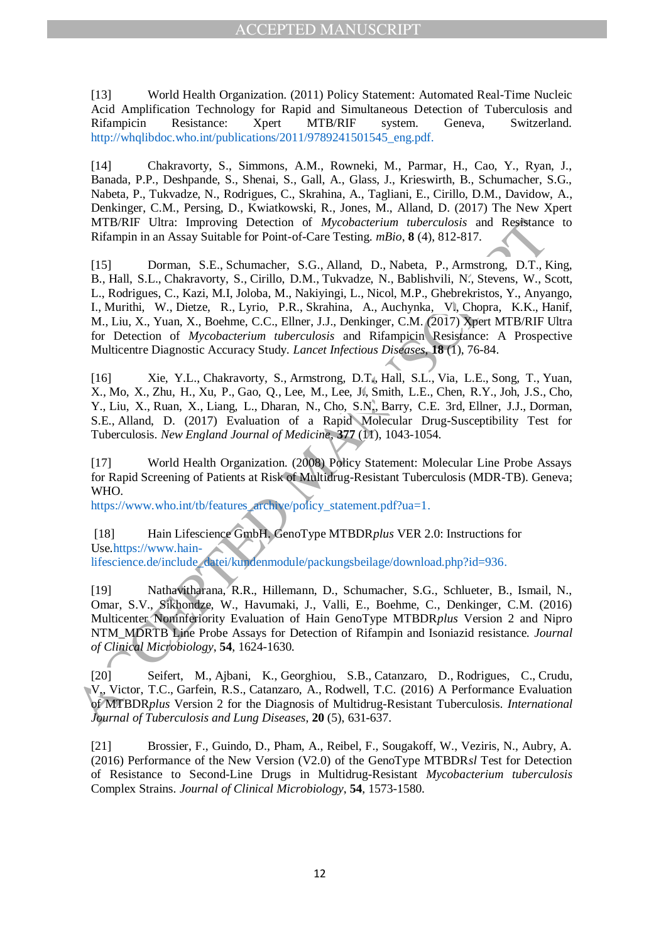[13] World Health Organization. (2011) Policy Statement: Automated Real-Time Nucleic Acid Amplification Technology for Rapid and Simultaneous Detection of Tuberculosis and Rifampicin Resistance: Xpert MTB/RIF system. Geneva, Switzerland. http://whqlibdoc.who.int/publications/2011/9789241501545\_eng.pdf.

[14] Chakravorty, S., Simmons, A.M., Rowneki, M., Parmar, H., Cao, Y., Ryan, J., Banada, P.P., Deshpande, S., Shenai, S., Gall, A., Glass, J., Krieswirth, B., Schumacher, S.G., Nabeta, P., Tukvadze, N., Rodrigues, C., Skrahina, A., Tagliani, E., Cirillo, D.M., Davidow, A., Denkinger, C.M., Persing, D., Kwiatkowski, R., Jones, M., Alland, D. (2017) The New Xpert MTB/RIF Ultra: Improving Detection of *Mycobacterium tuberculosis* and Resistance to Rifampin in an Assay Suitable for Point-of-Care Testing. *mBio*, **8** (4), 812-817.

MTB/RIF Ulria: Improving Detection of Mycohocterium inteheculoris and Resistance<br>
Hifampin in an Assay Suitable for Point-of-Care Testing, milo. 8 (4), 812-817.<br>
B. H. B. L. Chalceworty, S., Cirillo, D. M. Tukvatte, N., B [15] Dorman, S.E., Schumacher, S.G., Alland, D., Nabeta, P., Armstrong, D.T., King, B., Hall, S.L., Chakravorty, S., Cirillo, D.M., Tukvadze, N., Bablishvili, N., Stevens, W., Scott, L., Rodrigues, C., Kazi, M.I, Joloba, M., Nakiyingi, L., Nicol, M.P., Ghebrekristos, Y., Anyango, I., Murithi, W., Dietze, R., Lyrio, P.R., Skrahina, A., Auchynka, V., Chopra, K.K., Hanif, M., Liu, X., Yuan, X., Boehme, C.C., Ellner, J.J., Denkinger, C.M. (2017) Xpert MTB/RIF Ultra for Detection of *Mycobacterium tuberculosis* and Rifampicin Resistance: A Prospective Multicentre Diagnostic Accuracy Study. *Lancet Infectious Diseases*, **18** (1), 76-84.

[16] Xie, Y.L., Chakravorty, S., Armstrong, D.T., Hall, S.L., Via, L.E., Song, T., Yuan, X., Mo, X., Zhu, H., Xu, P., Gao, Q., Lee, M., Lee, J., Smith, L.E., Chen, R.Y., Joh, J.S., Cho, Y., Liu, X., Ruan, X., Liang, L., Dharan, N., Cho, S.N., Barry, C.E. 3rd, Ellner, J.J., Dorman, S.E., Alland, D. (2017) Evaluation of a Rapid Molecular Drug-Susceptibility Test for Tuberculosis. *New England Journal of Medicine*, **377** (11), 1043-1054.

[17] World Health Organization. (2008) Policy Statement: Molecular Line Probe Assays for Rapid Screening of Patients at Risk of Multidrug-Resistant Tuberculosis (MDR-TB). Geneva; WHO.

https://www.who.int/tb/features\_archive/policy\_statement.pdf?ua=1.

[18] Hain Lifescience GmbH. GenoType MTBDR*plus* VER 2.0: Instructions for Use.https://www.hain-

lifescience.de/include\_datei/kundenmodule/packungsbeilage/download.php?id=936.

[19] Nathavitharana, R.R., Hillemann, D., Schumacher, S.G., Schlueter, B., Ismail, N., Omar, S.V., Sikhondze, W., Havumaki, J., Valli, E., Boehme, C., Denkinger, C.M. (2016) Multicenter Noninferiority Evaluation of Hain GenoType MTBDR*plus* Version 2 and Nipro NTM\_MDRTB Line Probe Assays for Detection of Rifampin and Isoniazid resistance. *Journal of Clinical Microbiology*, **54**, 1624-1630.

[20] Seifert, M., Ajbani, K., Georghiou, S.B., Catanzaro, D., Rodrigues, C., Crudu, V., Victor, T.C., Garfein, R.S., Catanzaro, A., Rodwell, T.C. (2016) A Performance Evaluation of MTBDR*plus* Version 2 for the Diagnosis of Multidrug-Resistant Tuberculosis. *International Journal of Tuberculosis and Lung Diseases*, **20** (5), 631-637.

[21] Brossier, F., Guindo, D., Pham, A., Reibel, F., Sougakoff, W., Veziris, N., Aubry, A. (2016) Performance of the New Version (V2.0) of the GenoType MTBDR*sl* Test for Detection of Resistance to Second-Line Drugs in Multidrug-Resistant *Mycobacterium tuberculosis*  Complex Strains. *Journal of Clinical Microbiology*, **54**, 1573-1580.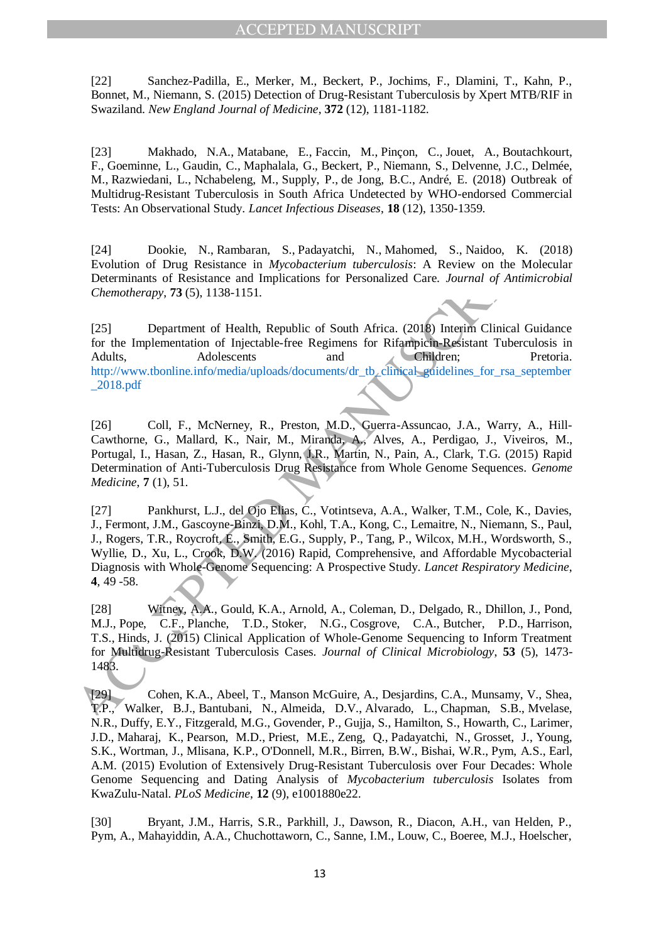[22] Sanchez-Padilla, E., Merker, M., Beckert, P., Jochims, F., Dlamini, T., Kahn, P., Bonnet, M., Niemann, S. (2015) Detection of Drug-Resistant Tuberculosis by Xpert MTB/RIF in Swaziland. *New England Journal of Medicine*, **372** (12), 1181-1182.

[23] Makhado, N.A., Matabane, E., Faccin, M., Pinçon, C., Jouet, A., Boutachkourt, F., Goeminne, L., Gaudin, C., Maphalala, G., Beckert, P., Niemann, S., Delvenne, J.C., Delmée, M., Razwiedani, L., Nchabeleng, M., Supply, P., de Jong, B.C., André, E. (2018) Outbreak of Multidrug-Resistant Tuberculosis in South Africa Undetected by WHO-endorsed Commercial Tests: An Observational Study. *Lancet Infectious Diseases*, **18** (12), 1350-1359.

[24] Dookie, N., Rambaran, S., Padayatchi, N., Mahomed, S., Naidoo, K. (2018) Evolution of Drug Resistance in *Mycobacterium tuberculosis*: A Review on the Molecular Determinants of Resistance and Implications for Personalized Care. *Journal of Antimicrobial Chemotherapy*, **73** (5), 1138-1151.

[25] Department of Health, Republic of South Africa. (2018) Interim Clinical Guidance for the Implementation of Injectable-free Regimens for Rifampicin-Resistant Tuberculosis in Adults, Adolescents and Children; Pretoria. http://www.tbonline.info/media/uploads/documents/dr\_tb\_clinical\_guidelines\_for\_rsa\_september \_2018.pdf

[26] Coll, F., McNerney, R., Preston, M.D., Guerra-Assuncao, J.A., Warry, A., Hill-Cawthorne, G., Mallard, K., Nair, M., Miranda, A., Alves, A., Perdigao, J., Viveiros, M., Portugal, I., Hasan, Z., Hasan, R., Glynn, J.R., Martin, N., Pain, A., Clark, T.G. (2015) Rapid Determination of Anti-Tuberculosis Drug Resistance from Whole Genome Sequences. *Genome Medicine*, **7** (1), 51.

2441 Dookie, N., Rambaran, S., Padayatchi, N., Mahomed, S., Nidoo, K. (2)<br>
Evolution of Drug Resistance in *Mycobacterium interculosis*: A Review on the Mole<br>
Determinants of Resistance and Implications for Personalized C [27] Pankhurst, L.J., del Ojo Elias, C., Votintseva, A.A., Walker, T.M., Cole, K., Davies, J., Fermont, J.M., Gascoyne-Binzi, D.M., Kohl, T.A., Kong, C., Lemaitre, N., Niemann, S., Paul, J., Rogers, T.R., Roycroft, E., Smith, E.G., Supply, P., Tang, P., Wilcox, M.H., Wordsworth, S., Wyllie, D., Xu, L., Crook, D.W. (2016) Rapid, Comprehensive, and Affordable Mycobacterial Diagnosis with Whole-Genome Sequencing: A Prospective Study. *Lancet Respiratory Medicine*, **4**, 49 -58.

[28] Witney, A.A., Gould, K.A., Arnold, A., Coleman, D., Delgado, R., Dhillon, J., Pond, M.J., Pope, C.F., Planche, T.D., Stoker, N.G., Cosgrove, C.A., Butcher, P.D., Harrison, T.S., Hinds, J. (2015) Clinical Application of Whole-Genome Sequencing to Inform Treatment for Multidrug-Resistant Tuberculosis Cases. *Journal of Clinical Microbiology*, **53** (5), 1473- 1483.

[29] Cohen, K.A., Abeel, T., Manson McGuire, A., Desjardins, C.A., Munsamy, V., Shea, T.P., Walker, B.J., Bantubani, N., Almeida, D.V., Alvarado, L., Chapman, S.B., Mvelase, N.R., Duffy, E.Y., Fitzgerald, M.G., Govender, P., Gujja, S., Hamilton, S., Howarth, C., Larimer, J.D., Maharaj, K., Pearson, M.D., Priest, M.E., Zeng, Q., Padayatchi, N., Grosset, J., Young, S.K., Wortman, J., Mlisana, K.P., O'Donnell, M.R., Birren, B.W., Bishai, W.R., Pym, A.S., Earl, A.M. (2015) Evolution of Extensively Drug-Resistant Tuberculosis over Four Decades: Whole Genome Sequencing and Dating Analysis of *Mycobacterium tuberculosis* Isolates from KwaZulu-Natal. *PLoS Medicine*, **12** (9), e1001880e22.

[30] Bryant, J.M., Harris, S.R., Parkhill, J., Dawson, R., Diacon, A.H., van Helden, P., Pym, A., Mahayiddin, A.A., Chuchottaworn, C., Sanne, I.M., Louw, C., Boeree, M.J., Hoelscher,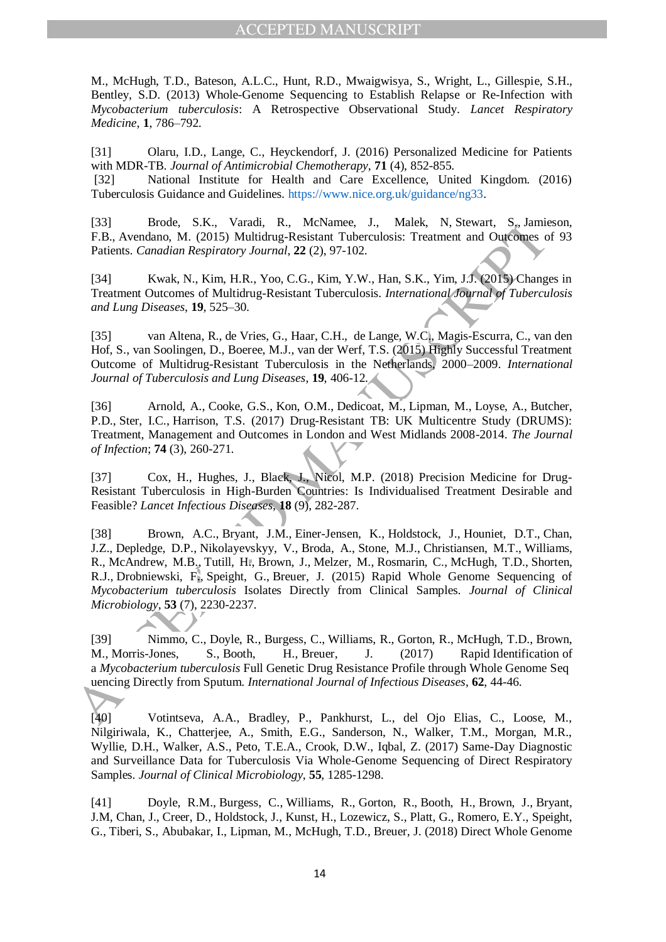M., McHugh, T.D., Bateson, A.L.C., Hunt, R.D., Mwaigwisya, S., Wright, L., Gillespie, S.H., Bentley, S.D. (2013) Whole-Genome Sequencing to Establish Relapse or Re-Infection with *Mycobacterium tuberculosis*: A Retrospective Observational Study. *Lancet Respiratory Medicine*, **1**, 786–792.

[31] Olaru, I.D., Lange, C., Heyckendorf, J. (2016) Personalized Medicine for Patients with MDR-TB. *Journal of Antimicrobial Chemotherapy*, **71** (4), 852-855.

[32] National Institute for Health and Care Excellence, United Kingdom. (2016) Tuberculosis Guidance and Guidelines. https://www.nice.org.uk/guidance/ng33.

[33] Brode, S.K., Varadi, R., McNamee, J., Malek, N, Stewart, S., Jamieson, F.B., Avendano, M. (2015) Multidrug-Resistant Tuberculosis: Treatment and Outcomes of 93 Patients. *Canadian Respiratory Journal*, **22** (2), 97-102.

[34] Kwak, N., Kim, H.R., Yoo, C.G., Kim, Y.W., Han, S.K., Yim, J.J. (2015) Changes in Treatment Outcomes of Multidrug-Resistant Tuberculosis. *International Journal of Tuberculosis and Lung Diseases*, **19**, 525–30.

[35] van Altena, R., de Vries, G., Haar, C.H., de Lange, W.C., Magis-Escurra, C., van den Hof, S., van Soolingen, D., Boeree, M.J., van der Werf, T.S. (2015) Highly Successful Treatment Outcome of Multidrug-Resistant Tuberculosis in the Netherlands, 2000–2009. *International Journal of Tuberculosis and Lung Diseases*, **19**, 406-12.

[36] Arnold, A., Cooke, G.S., Kon, O.M., Dedicoat, M., Lipman, M., Loyse, A., Butcher, P.D., Ster, I.C., Harrison, T.S. (2017) Drug-Resistant TB: UK Multicentre Study (DRUMS): Treatment, Management and Outcomes in London and West Midlands 2008-2014. *The Journal of Infection*; **74** (3), 260-271.

[37] Cox, H., Hughes, J., Black, J., Nicol, M.P. (2018) Precision Medicine for Drug-Resistant Tuberculosis in High-Burden Countries: Is Individualised Treatment Desirable and Feasible? *Lancet Infectious Diseases*, **18** (9), 282-287.

1331<br>
1814: Horde, S.K., Varadia, R., WeName, J., Makk, N., Kiewart, S., Jamie<br>
1815. *Canadian Respiratory Journal*, 22(2), 97-102.<br>
1941 Kwak, N., Kim, H.R., Yoo, C.G., Kim, Y.W., Han, S.K., Yim, J.J., QOI5) Change<br>
181 [38] Brown, A.C., Bryant, J.M., Einer-Jensen, K., Holdstock, J., Houniet, D.T., Chan, J.Z., Depledge, D.P., Nikolayevskyy, V., Broda, A., Stone, M.J., Christiansen, M.T., Williams, R., McAndrew, M.B., Tutill, H., Brown, J., Melzer, M., Rosmarin, C., McHugh, T.D., Shorten, R.J., Drobniewski, F., Speight, G., Breuer, J. (2015) Rapid Whole Genome Sequencing of *Mycobacterium tuberculosis* Isolates Directly from Clinical Samples. *Journal of Clinical Microbiology*, **53** (7), 2230-2237.

[39] Nimmo, C., Doyle, R., Burgess, C., Williams, R., Gorton, R., McHugh, T.D., Brown, M., Morris-Jones, S., Booth, H., Breuer, J. (2017) Rapid Identification of a *Mycobacterium tuberculosis* Full Genetic Drug Resistance Profile through Whole Genome Seq uencing Directly from Sputum. *International Journal of Infectious Diseases*, **62**, 44-46.

[40] Votintseva, A.A., Bradley, P., Pankhurst, L., del Ojo Elias, C., Loose, M., Nilgiriwala, K., Chatterjee, A., Smith, E.G., Sanderson, N., Walker, T.M., Morgan, M.R., Wyllie, D.H., Walker, A.S., Peto, T.E.A., Crook, D.W., Iqbal, Z. (2017) Same-Day Diagnostic and Surveillance Data for Tuberculosis Via Whole-Genome Sequencing of Direct Respiratory Samples. *Journal of Clinical Microbiology*, **55**, 1285-1298.

[41] Doyle, R.M., Burgess, C., Williams, R., Gorton, R., Booth, H., Brown, J., Bryant, J.M, Chan, J., Creer, D., Holdstock, J., Kunst, H., Lozewicz, S., Platt, G., Romero, E.Y., Speight, G., Tiberi, S., Abubakar, I., Lipman, M., McHugh, T.D., Breuer, J. (2018) Direct Whole Genome